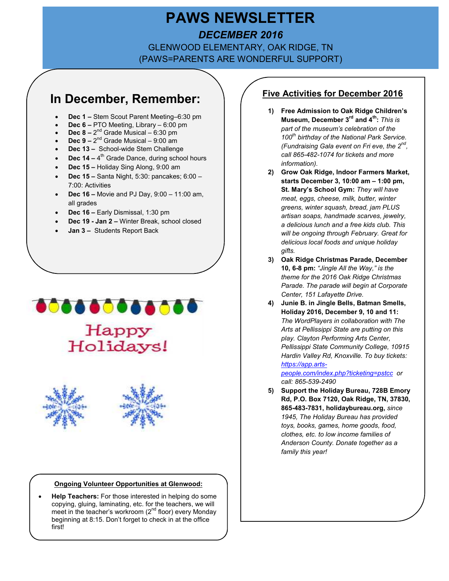## **PAWS NEWSLETTER**

### *DECEMBER 2016* GLENWOOD ELEMENTARY, OAK RIDGE, TN

(PAWS=PARENTS ARE WONDERFUL SUPPORT)

## **In December, Remember:**

- **Dec 1** Stem Scout Parent Meeting–6:30 pm
- **Dec 6** PTO Meeting, Library 6:00 pm
- **Dec 8**  $2^{nd}$  Grade Musical 6:30 pm
- **Dec 9**  $2^{nd}$  Grade Musical 9:00 am
- **Dec 13** School-wide Stem Challenge
- **Dec 14 –** 4<sup>th</sup> Grade Dance, during school hours
- **Dec 15** Holiday Sing Along, 9:00 am
- **Dec 15** Santa Night, 5:30: pancakes; 6:00 7:00: Activities
- **Dec 16** Movie and PJ Day, 9:00 11:00 am, all grades
- **Dec 16** Early Dismissal, 1:30 pm
- **Dec 19 Jan 2** Winter Break, school closed
- **Jan 3** Students Report Back







#### **Ongoing Volunteer Opportunities at Glenwood:**

• **Help Teachers:** For those interested in helping do some copying, gluing, laminating, etc. for the teachers, we will meet in the teacher's workroom  $(2^{nd}$  floor) every Monday beginning at 8:15. Don't forget to check in at the office first!

#### **Five Activities for December 2016**

- **1) Free Admission to Oak Ridge Children's Museum, December 3rd and 4th:** *This is part of the museum's celebration of the 100th birthday of the National Park Service. (Fundraising Gala event on Fri eve, the 2nd , call 865-482-1074 for tickets and more information).*
- **2) Grow Oak Ridge, Indoor Farmers Market, starts December 3, 10:00 am – 1:00 pm, St. Mary's School Gym:** *They will have meat, eggs, cheese, milk, butter, winter greens, winter squash, bread, jam PLUS artisan soaps, handmade scarves, jewelry, a delicious lunch and a free kids club. This will be ongoing through February. Great for delicious local foods and unique holiday gifts.*
- **3) Oak Ridge Christmas Parade, December 10, 6-8 pm:** *"Jingle All the Way," is the theme for the 2016 Oak Ridge Christmas Parade. The parade will begin at Corporate Center, 151 Lafayette Drive.*
- **4) Junie B. in Jingle Bells, Batman Smells, Holiday 2016, December 9, 10 and 11:**  *The WordPlayers in collaboration with The Arts at Pellissippi State are putting on this play. Clayton Performing Arts Center, Pellissippi State Community College, 10915 Hardin Valley Rd, Knoxville. To buy tickets: https://app.arts-*

*people.com/index.php?ticketing=pstcc or call: 865-539-2490* 

**5) Support the Holiday Bureau, 728B Emory Rd, P.O. Box 7120, Oak Ridge, TN, 37830, 865-483-7831, holidaybureau.org,** *since 1945, The Holiday Bureau has provided toys, books, games, home goods, food, clothes, etc. to low income families of Anderson County. Donate together as a family this year!*